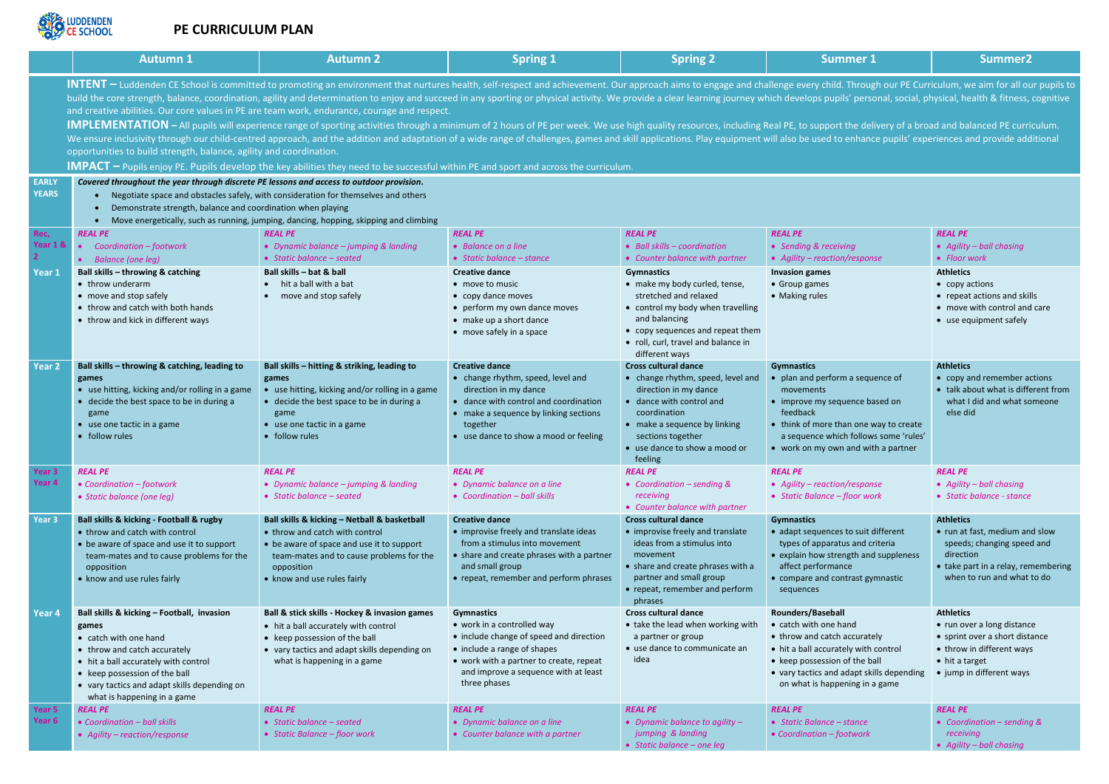

## **PE CURRICULUM PLAN**

|                                    | <b>Autumn 1</b>                                                                                                                                                                                                                                                                                                                                                                                                                                                                                                                                                                                                                                                                                                                                                                                                                                                                                                                                                                                                                                                                                                                                                                                                                                            | <b>Autumn 2</b>                                                                                                                                                                                                      | <b>Spring 1</b>                                                                                                                                                                                                              | <b>Spring 2</b>                                                                                                                                                                                                                        | <b>Summer 1</b>                                                                                                                                                                                                                            | Summer <sub>2</sub>                                                                                                                                                 |  |  |  |
|------------------------------------|------------------------------------------------------------------------------------------------------------------------------------------------------------------------------------------------------------------------------------------------------------------------------------------------------------------------------------------------------------------------------------------------------------------------------------------------------------------------------------------------------------------------------------------------------------------------------------------------------------------------------------------------------------------------------------------------------------------------------------------------------------------------------------------------------------------------------------------------------------------------------------------------------------------------------------------------------------------------------------------------------------------------------------------------------------------------------------------------------------------------------------------------------------------------------------------------------------------------------------------------------------|----------------------------------------------------------------------------------------------------------------------------------------------------------------------------------------------------------------------|------------------------------------------------------------------------------------------------------------------------------------------------------------------------------------------------------------------------------|----------------------------------------------------------------------------------------------------------------------------------------------------------------------------------------------------------------------------------------|--------------------------------------------------------------------------------------------------------------------------------------------------------------------------------------------------------------------------------------------|---------------------------------------------------------------------------------------------------------------------------------------------------------------------|--|--|--|
|                                    | INTENT – Luddenden CE School is committed to promoting an environment that nurtures health, self-respect and achievement. Our approach aims to engage and challenge every child. Through our PE Curriculum, we aim for all our<br>build the core strength, balance, coordination, agility and determination to enjoy and succeed in any sporting or physical activity. We provide a clear learning journey which develops pupils' personal, social, physical, he<br>and creative abilities. Our core values in PE are team work, endurance, courage and respect.<br>IMPLEMENTATION - All pupils will experience range of sporting activities through a minimum of 2 hours of PE per week. We use high quality resources, including Real PE, to support the delivery of a broad and balanced PE cur<br>We ensure inclusivity through our child-centred approach, and the addition and adaptation of a wide range of challenges, games and skill applications. Play equipment will also be used to enhance pupils' experiences and pro<br>opportunities to build strength, balance, agility and coordination.<br><b>IMPACT</b> – Pupils enjoy PE. Pupils develop the key abilities they need to be successful within PE and sport and across the curriculum. |                                                                                                                                                                                                                      |                                                                                                                                                                                                                              |                                                                                                                                                                                                                                        |                                                                                                                                                                                                                                            |                                                                                                                                                                     |  |  |  |
| <b>EARLY</b><br><b>YEARS</b>       | Covered throughout the year through discrete PE lessons and access to outdoor provision.<br>Negotiate space and obstacles safely, with consideration for themselves and others<br>Demonstrate strength, balance and coordination when playing<br>$\bullet$<br>Move energetically, such as running, jumping, dancing, hopping, skipping and climbing<br>$\bullet$                                                                                                                                                                                                                                                                                                                                                                                                                                                                                                                                                                                                                                                                                                                                                                                                                                                                                           |                                                                                                                                                                                                                      |                                                                                                                                                                                                                              |                                                                                                                                                                                                                                        |                                                                                                                                                                                                                                            |                                                                                                                                                                     |  |  |  |
| Rec,<br>Year 1 &<br>$\overline{2}$ | <b>REAL PE</b><br>Coordination - footwork<br>$\bullet$<br>• Balance (one leg)                                                                                                                                                                                                                                                                                                                                                                                                                                                                                                                                                                                                                                                                                                                                                                                                                                                                                                                                                                                                                                                                                                                                                                              | <b>REAL PE</b><br>• Dynamic balance - jumping & landing<br>• Static balance - seated                                                                                                                                 | <b>REAL PE</b><br>• Balance on a line<br>• Static balance $-$ stance                                                                                                                                                         | <b>REAL PE</b><br>$\bullet$ Ball skills – coordination<br>• Counter balance with partner                                                                                                                                               | <b>REAL PE</b><br>• Sending & receiving<br>• Agility - reaction/response                                                                                                                                                                   | <b>REAL PE</b><br>• Agility - ball chasing<br>• Floor work                                                                                                          |  |  |  |
| Year 1                             | Ball skills - throwing & catching<br>• throw underarm<br>• move and stop safely<br>• throw and catch with both hands<br>• throw and kick in different ways                                                                                                                                                                                                                                                                                                                                                                                                                                                                                                                                                                                                                                                                                                                                                                                                                                                                                                                                                                                                                                                                                                 | Ball skills - bat & ball<br>hit a ball with a bat<br>move and stop safely                                                                                                                                            | <b>Creative dance</b><br>• move to music<br>• copy dance moves<br>• perform my own dance moves<br>• make up a short dance<br>• move safely in a space                                                                        | <b>Gymnastics</b><br>• make my body curled, tense,<br>stretched and relaxed<br>• control my body when travelling<br>and balancing<br>• copy sequences and repeat them<br>• roll, curl, travel and balance in<br>different ways         | <b>Invasion games</b><br>• Group games<br>• Making rules                                                                                                                                                                                   | <b>Athletics</b><br>• copy actions<br>• repeat actions and skills<br>• move with control and care<br>• use equipment safely                                         |  |  |  |
| <b>Year 2</b>                      | Ball skills - throwing & catching, leading to<br>games<br>• use hitting, kicking and/or rolling in a game<br>• decide the best space to be in during a<br>game<br>• use one tactic in a game<br>• follow rules                                                                                                                                                                                                                                                                                                                                                                                                                                                                                                                                                                                                                                                                                                                                                                                                                                                                                                                                                                                                                                             | Ball skills - hitting & striking, leading to<br>games<br>• use hitting, kicking and/or rolling in a game<br>• decide the best space to be in during a<br>game<br>• use one tactic in a game<br>• follow rules        | <b>Creative dance</b><br>• change rhythm, speed, level and<br>direction in my dance<br>• dance with control and coordination<br>• make a sequence by linking sections<br>together<br>• use dance to show a mood or feeling   | <b>Cross cultural dance</b><br>• change rhythm, speed, level and<br>direction in my dance<br>• dance with control and<br>coordination<br>• make a sequence by linking<br>sections together<br>• use dance to show a mood or<br>feeling | <b>Gymnastics</b><br>• plan and perform a sequence of<br>movements<br>• improve my sequence based on<br>feedback<br>• think of more than one way to create<br>a sequence which follows some 'rules'<br>• work on my own and with a partner | <b>Athletics</b><br>• copy and remember actions<br>• talk about what is different from<br>what I did and what someone<br>else did                                   |  |  |  |
| Year <sub>3</sub><br>Year 4        | <b>REAL PE</b><br>• Coordination - footwork<br>• Static balance (one leg)                                                                                                                                                                                                                                                                                                                                                                                                                                                                                                                                                                                                                                                                                                                                                                                                                                                                                                                                                                                                                                                                                                                                                                                  | <b>REAL PE</b><br>• Dynamic balance - jumping & landing<br>• Static balance - seated                                                                                                                                 | <b>REAL PE</b><br>• Dynamic balance on a line<br>• Coordination - ball skills                                                                                                                                                | <b>REAL PE</b><br>• Coordination – sending $\&$<br>receiving<br>• Counter balance with partner                                                                                                                                         | <b>REAL PE</b><br>• Agility - reaction/response<br>• Static Balance - floor work                                                                                                                                                           | <b>REAL PE</b><br>• Agility $-$ ball chasing<br>• Static balance - stance                                                                                           |  |  |  |
| Year <sub>3</sub>                  | Ball skills & kicking - Football & rugby<br>• throw and catch with control<br>• be aware of space and use it to support<br>team-mates and to cause problems for the<br>opposition<br>• know and use rules fairly                                                                                                                                                                                                                                                                                                                                                                                                                                                                                                                                                                                                                                                                                                                                                                                                                                                                                                                                                                                                                                           | Ball skills & kicking - Netball & basketball<br>• throw and catch with control<br>• be aware of space and use it to support<br>team-mates and to cause problems for the<br>opposition<br>• know and use rules fairly | <b>Creative dance</b><br>• improvise freely and translate ideas<br>from a stimulus into movement<br>• share and create phrases with a partner<br>and small group<br>• repeat, remember and perform phrases                   | <b>Cross cultural dance</b><br>• improvise freely and translate<br>ideas from a stimulus into<br>movement<br>• share and create phrases with a<br>partner and small group<br>• repeat, remember and perform<br>phrases                 | <b>Gymnastics</b><br>• adapt sequences to suit different<br>types of apparatus and criteria<br>• explain how strength and suppleness<br>affect performance<br>• compare and contrast gymnastic<br>sequences                                | <b>Athletics</b><br>• run at fast, medium and slow<br>speeds; changing speed and<br>direction<br>• take part in a relay, remembering<br>when to run and what to do  |  |  |  |
| Year 4                             | Ball skills & kicking - Football, invasion<br>games<br>• catch with one hand<br>• throw and catch accurately<br>• hit a ball accurately with control<br>• keep possession of the ball<br>• vary tactics and adapt skills depending on<br>what is happening in a game                                                                                                                                                                                                                                                                                                                                                                                                                                                                                                                                                                                                                                                                                                                                                                                                                                                                                                                                                                                       | Ball & stick skills - Hockey & invasion games<br>• hit a ball accurately with control<br>• keep possession of the ball<br>• vary tactics and adapt skills depending on<br>what is happening in a game                | <b>Gymnastics</b><br>• work in a controlled way<br>• include change of speed and direction<br>• include a range of shapes<br>• work with a partner to create, repeat<br>and improve a sequence with at least<br>three phases | <b>Cross cultural dance</b><br>• take the lead when working with<br>a partner or group<br>• use dance to communicate an<br>idea                                                                                                        | Rounders/Baseball<br>• catch with one hand<br>• throw and catch accurately<br>• hit a ball accurately with control<br>• keep possession of the ball<br>• vary tactics and adapt skills depending<br>on what is happening in a game         | <b>Athletics</b><br>• run over a long distance<br>• sprint over a short distance<br>• throw in different ways<br>$\bullet$ hit a target<br>• jump in different ways |  |  |  |
| Year 5<br>Year 6                   | <b>REAL PE</b><br>• Coordination - ball skills<br>• Agility – reaction/response                                                                                                                                                                                                                                                                                                                                                                                                                                                                                                                                                                                                                                                                                                                                                                                                                                                                                                                                                                                                                                                                                                                                                                            | <b>REAL PE</b><br>• Static balance - seated<br>• Static Balance - floor work                                                                                                                                         | <b>REAL PE</b><br>• Dynamic balance on a line<br>• Counter balance with a partner                                                                                                                                            | <b>REAL PE</b><br>• Dynamic balance to agility $-$<br>jumping & landing<br>• Static balance - one leg                                                                                                                                  | <b>REAL PE</b><br>• Static Balance - stance<br>• Coordination - footwork                                                                                                                                                                   | <b>REAL PE</b><br>• Coordination - sending &<br>receiving<br>• Agility - ball chasing                                                                               |  |  |  |

|  | $\overline{\rm mmer}$ 1 |  |
|--|-------------------------|--|
|  |                         |  |